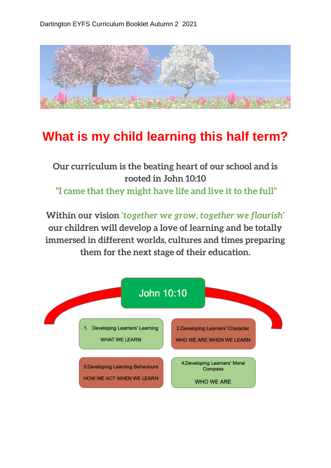

## **What is my child learning this half term?**

**Our curriculum is the beating heart of our school and is rooted in John 10:10 "I came that they might have life and live it to the full"**

**Within our vision** *'together we grow, together we flourish'*  **our children will develop a love of learning and be totally immersed in different worlds, cultures and times preparing them for the next stage of their education.**

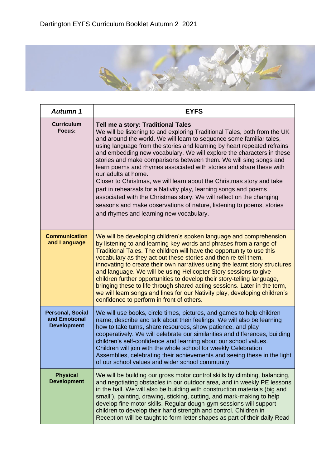

| <b>Autumn 1</b>                                                | <b>EYFS</b>                                                                                                                                                                                                                                                                                                                                                                                                                                                                                                                                                                                                                                                                                                                                                                                                                                            |
|----------------------------------------------------------------|--------------------------------------------------------------------------------------------------------------------------------------------------------------------------------------------------------------------------------------------------------------------------------------------------------------------------------------------------------------------------------------------------------------------------------------------------------------------------------------------------------------------------------------------------------------------------------------------------------------------------------------------------------------------------------------------------------------------------------------------------------------------------------------------------------------------------------------------------------|
| <b>Curriculum</b><br>Focus:                                    | Tell me a story: Traditional Tales<br>We will be listening to and exploring Traditional Tales, both from the UK<br>and around the world. We will learn to sequence some familiar tales,<br>using language from the stories and learning by heart repeated refrains<br>and embedding new vocabulary. We will explore the characters in these<br>stories and make comparisons between them. We will sing songs and<br>learn poems and rhymes associated with stories and share these with<br>our adults at home.<br>Closer to Christmas, we will learn about the Christmas story and take<br>part in rehearsals for a Nativity play, learning songs and poems<br>associated with the Christmas story. We will reflect on the changing<br>seasons and make observations of nature, listening to poems, stories<br>and rhymes and learning new vocabulary. |
| <b>Communication</b><br>and Language                           | We will be developing children's spoken language and comprehension<br>by listening to and learning key words and phrases from a range of<br>Traditional Tales. The children will have the opportunity to use this<br>vocabulary as they act out these stories and then re-tell them,<br>innovating to create their own narratives using the learnt story structures<br>and language. We will be using Helicopter Story sessions to give<br>children further opportunities to develop their story-telling language,<br>bringing these to life through shared acting sessions. Later in the term,<br>we will learn songs and lines for our Nativity play, developing children's<br>confidence to perform in front of others.                                                                                                                             |
| <b>Personal, Social</b><br>and Emotional<br><b>Development</b> | We will use books, circle times, pictures, and games to help children<br>name, describe and talk about their feelings. We will also be learning<br>how to take turns, share resources, show patience, and play<br>cooperatively. We will celebrate our similarities and differences, building<br>children's self-confidence and learning about our school values.<br>Children will join with the whole school for weekly Celebration<br>Assemblies, celebrating their achievements and seeing these in the light<br>of our school values and wider school community.                                                                                                                                                                                                                                                                                   |
| <b>Physical</b><br><b>Development</b>                          | We will be building our gross motor control skills by climbing, balancing,<br>and negotiating obstacles in our outdoor area, and in weekly PE lessons<br>in the hall. We will also be building with construction materials (big and<br>small!), painting, drawing, sticking, cutting, and mark-making to help<br>develop fine motor skills. Regular dough-gym sessions will support<br>children to develop their hand strength and control. Children in<br>Reception will be taught to form letter shapes as part of their daily Read                                                                                                                                                                                                                                                                                                                  |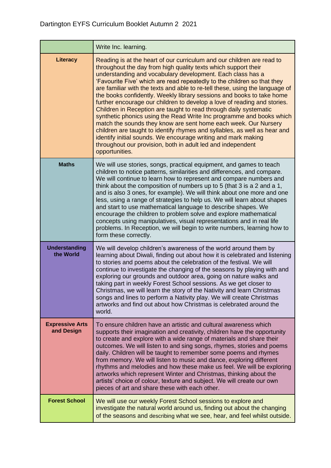|                                      | Write Inc. learning.                                                                                                                                                                                                                                                                                                                                                                                                                                                                                                                                                                                                                                                                                                                                                                                                                                                                                                                                                  |
|--------------------------------------|-----------------------------------------------------------------------------------------------------------------------------------------------------------------------------------------------------------------------------------------------------------------------------------------------------------------------------------------------------------------------------------------------------------------------------------------------------------------------------------------------------------------------------------------------------------------------------------------------------------------------------------------------------------------------------------------------------------------------------------------------------------------------------------------------------------------------------------------------------------------------------------------------------------------------------------------------------------------------|
| Literacy                             | Reading is at the heart of our curriculum and our children are read to<br>throughout the day from high quality texts which support their<br>understanding and vocabulary development. Each class has a<br>'Favourite Five' which are read repeatedly to the children so that they<br>are familiar with the texts and able to re-tell these, using the language of<br>the books confidently. Weekly library sessions and books to take home<br>further encourage our children to develop a love of reading and stories.<br>Children in Reception are taught to read through daily systematic<br>synthetic phonics using the Read Write Inc programme and books which<br>match the sounds they know are sent home each week. Our Nursery<br>children are taught to identify rhymes and syllables, as well as hear and<br>identify initial sounds. We encourage writing and mark making<br>throughout our provision, both in adult led and independent<br>opportunities. |
| <b>Maths</b>                         | We will use stories, songs, practical equipment, and games to teach<br>children to notice patterns, similarities and differences, and compare.<br>We will continue to learn how to represent and compare numbers and<br>think about the composition of numbers up to 5 (that 3 is a 2 and a 1,<br>and is also 3 ones, for example). We will think about one more and one<br>less, using a range of strategies to help us. We will learn about shapes<br>and start to use mathematical language to describe shapes. We<br>encourage the children to problem solve and explore mathematical<br>concepts using manipulatives, visual representations and in real life<br>problems. In Reception, we will begin to write numbers, learning how to<br>form these correctly.                                                                                                                                                                                                |
| <b>Understanding</b><br>the World    | We will develop children's awareness of the world around them by<br>learning about Diwali, finding out about how it is celebrated and listening<br>to stories and poems about the celebration of the festival. We will<br>continue to investigate the changing of the seasons by playing with and<br>exploring our grounds and outdoor area, going on nature walks and<br>taking part in weekly Forest School sessions. As we get closer to<br>Christmas, we will learn the story of the Nativity and learn Christmas<br>songs and lines to perform a Nativity play. We will create Christmas<br>artworks and find out about how Christmas is celebrated around the<br>world.                                                                                                                                                                                                                                                                                         |
| <b>Expressive Arts</b><br>and Design | To ensure children have an artistic and cultural awareness which<br>supports their imagination and creativity, children have the opportunity<br>to create and explore with a wide range of materials and share their<br>outcomes. We will listen to and sing songs, rhymes, stories and poems<br>daily. Children will be taught to remember some poems and rhymes<br>from memory. We will listen to music and dance, exploring different<br>rhythms and melodies and how these make us feel. We will be exploring<br>artworks which represent Winter and Christmas, thinking about the<br>artists' choice of colour, texture and subject. We will create our own<br>pieces of art and share these with each other.                                                                                                                                                                                                                                                    |
| <b>Forest School</b>                 | We will use our weekly Forest School sessions to explore and<br>investigate the natural world around us, finding out about the changing<br>of the seasons and describing what we see, hear, and feel whilst outside.                                                                                                                                                                                                                                                                                                                                                                                                                                                                                                                                                                                                                                                                                                                                                  |